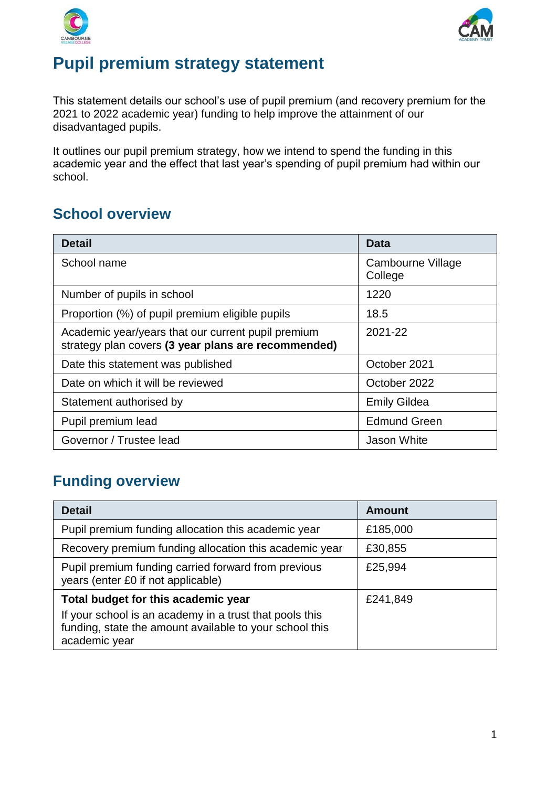



## **Pupil premium strategy statement**

This statement details our school's use of pupil premium (and recovery premium for the 2021 to 2022 academic year) funding to help improve the attainment of our disadvantaged pupils.

It outlines our pupil premium strategy, how we intend to spend the funding in this academic year and the effect that last year's spending of pupil premium had within our school.

## **School overview**

| <b>Detail</b>                                                                                             | <b>Data</b>                  |
|-----------------------------------------------------------------------------------------------------------|------------------------------|
| School name                                                                                               | Cambourne Village<br>College |
| Number of pupils in school                                                                                | 1220                         |
| Proportion (%) of pupil premium eligible pupils                                                           | 18.5                         |
| Academic year/years that our current pupil premium<br>strategy plan covers (3 year plans are recommended) | 2021-22                      |
| Date this statement was published                                                                         | October 2021                 |
| Date on which it will be reviewed                                                                         | October 2022                 |
| Statement authorised by                                                                                   | <b>Emily Gildea</b>          |
| Pupil premium lead                                                                                        | <b>Edmund Green</b>          |
| Governor / Trustee lead                                                                                   | Jason White                  |

## **Funding overview**

| <b>Detail</b>                                                                                                                                                              | <b>Amount</b> |
|----------------------------------------------------------------------------------------------------------------------------------------------------------------------------|---------------|
| Pupil premium funding allocation this academic year                                                                                                                        | £185,000      |
| Recovery premium funding allocation this academic year                                                                                                                     | £30,855       |
| Pupil premium funding carried forward from previous<br>years (enter £0 if not applicable)                                                                                  | £25,994       |
| Total budget for this academic year<br>If your school is an academy in a trust that pools this<br>funding, state the amount available to your school this<br>academic year | £241,849      |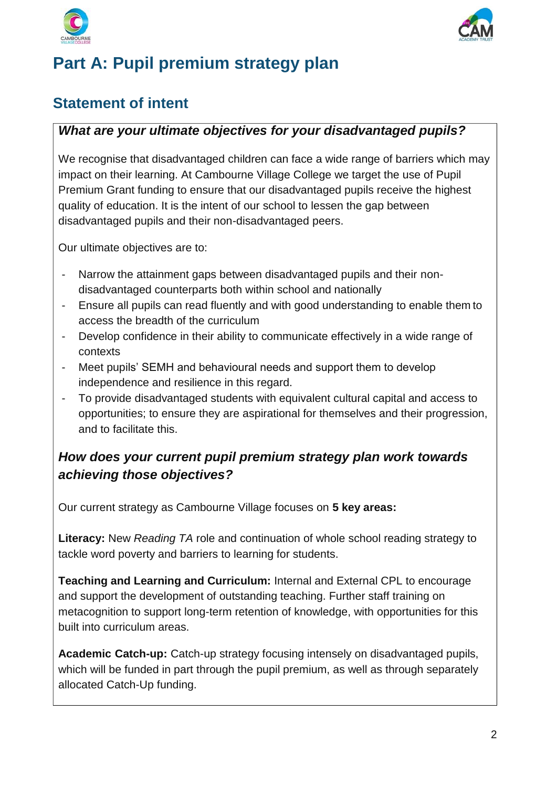



## **Part A: Pupil premium strategy plan**

## **Statement of intent**

### *What are your ultimate objectives for your disadvantaged pupils?*

We recognise that disadvantaged children can face a wide range of barriers which may impact on their learning. At Cambourne Village College we target the use of Pupil Premium Grant funding to ensure that our disadvantaged pupils receive the highest quality of education. It is the intent of our school to lessen the gap between disadvantaged pupils and their non-disadvantaged peers.

Our ultimate objectives are to:

- Narrow the attainment gaps between disadvantaged pupils and their nondisadvantaged counterparts both within school and nationally
- Ensure all pupils can read fluently and with good understanding to enable them to access the breadth of the curriculum
- Develop confidence in their ability to communicate effectively in a wide range of contexts
- Meet pupils' SEMH and behavioural needs and support them to develop independence and resilience in this regard.
- To provide disadvantaged students with equivalent cultural capital and access to opportunities; to ensure they are aspirational for themselves and their progression, and to facilitate this.

### *How does your current pupil premium strategy plan work towards achieving those objectives?*

Our current strategy as Cambourne Village focuses on **5 key areas:**

**Literacy:** New *Reading TA* role and continuation of whole school reading strategy to tackle word poverty and barriers to learning for students.

**Teaching and Learning and Curriculum:** Internal and External CPL to encourage and support the development of outstanding teaching. Further staff training on metacognition to support long-term retention of knowledge, with opportunities for this built into curriculum areas.

**Academic Catch-up:** Catch-up strategy focusing intensely on disadvantaged pupils, which will be funded in part through the pupil premium, as well as through separately allocated Catch-Up funding.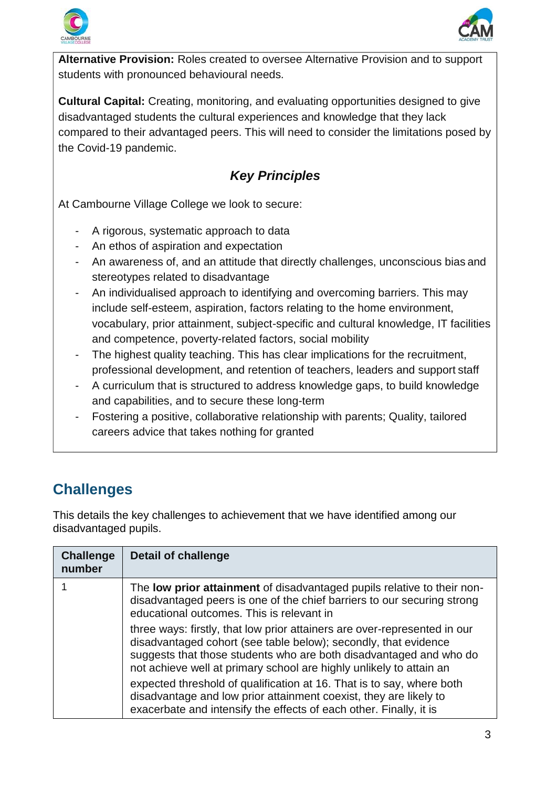



**Alternative Provision:** Roles created to oversee Alternative Provision and to support students with pronounced behavioural needs.

**Cultural Capital:** Creating, monitoring, and evaluating opportunities designed to give disadvantaged students the cultural experiences and knowledge that they lack compared to their advantaged peers. This will need to consider the limitations posed by the Covid-19 pandemic.

## *Key Principles*

At Cambourne Village College we look to secure:

- A rigorous, systematic approach to data
- An ethos of aspiration and expectation
- An awareness of, and an attitude that directly challenges, unconscious bias and stereotypes related to disadvantage
- An individualised approach to identifying and overcoming barriers. This may include self-esteem, aspiration, factors relating to the home environment, vocabulary, prior attainment, subject-specific and cultural knowledge, IT facilities and competence, poverty-related factors, social mobility
- The highest quality teaching. This has clear implications for the recruitment, professional development, and retention of teachers, leaders and support staff
- A curriculum that is structured to address knowledge gaps, to build knowledge and capabilities, and to secure these long-term
- Fostering a positive, collaborative relationship with parents; Quality, tailored careers advice that takes nothing for granted

## **Challenges**

This details the key challenges to achievement that we have identified among our disadvantaged pupils.

| <b>Challenge</b><br>number | <b>Detail of challenge</b>                                                                                                                                                                                                                                                                |
|----------------------------|-------------------------------------------------------------------------------------------------------------------------------------------------------------------------------------------------------------------------------------------------------------------------------------------|
|                            | The <b>low prior attainment</b> of disadvantaged pupils relative to their non-<br>disadvantaged peers is one of the chief barriers to our securing strong<br>educational outcomes. This is relevant in                                                                                    |
|                            | three ways: firstly, that low prior attainers are over-represented in our<br>disadvantaged cohort (see table below); secondly, that evidence<br>suggests that those students who are both disadvantaged and who do<br>not achieve well at primary school are highly unlikely to attain an |
|                            | expected threshold of qualification at 16. That is to say, where both<br>disadvantage and low prior attainment coexist, they are likely to<br>exacerbate and intensify the effects of each other. Finally, it is                                                                          |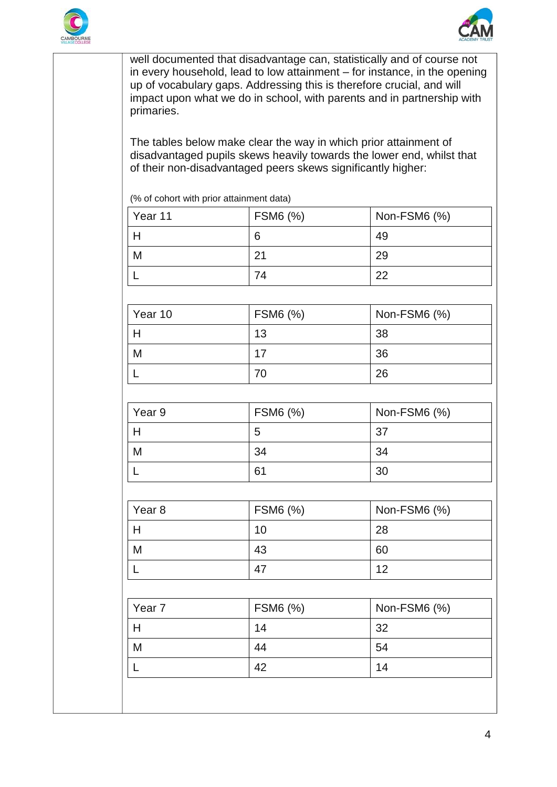



well documented that disadvantage can, statistically and of course not in every household, lead to low attainment – for instance, in the opening up of vocabulary gaps. Addressing this is therefore crucial, and will impact upon what we do in school, with parents and in partnership with primaries.

The tables below make clear the way in which prior attainment of disadvantaged pupils skews heavily towards the lower end, whilst that of their non-disadvantaged peers skews significantly higher:

(% of cohort with prior attainment data)

| Year 11 | FSM6 (%) | Non-FSM6 (%) |
|---------|----------|--------------|
|         | 6        | 49           |
| M       | 21       | 29           |
|         | 74       | 22           |

| Year 10 | FSM6 (%) | Non-FSM6 (%) |
|---------|----------|--------------|
|         | 13       | 38           |
| M       | 17       | 36           |
|         |          | 26           |

| Year 9 | FSM6 (%) | Non-FSM6 (%) |
|--------|----------|--------------|
|        | 5        | 37           |
| M      | 34       | 34           |
|        | 61       | 30           |

| Year <sub>8</sub> | FSM6 (%) | Non-FSM6 (%) |
|-------------------|----------|--------------|
|                   | 10       | 28           |
| M                 | 43       | 60           |
|                   | 47       | 12           |

| Year <sub>7</sub> | FSM6 (%) | Non-FSM6 (%) |
|-------------------|----------|--------------|
|                   | 14       | 32           |
| M                 | 44       | 54           |
|                   | 42       | 14           |
|                   |          |              |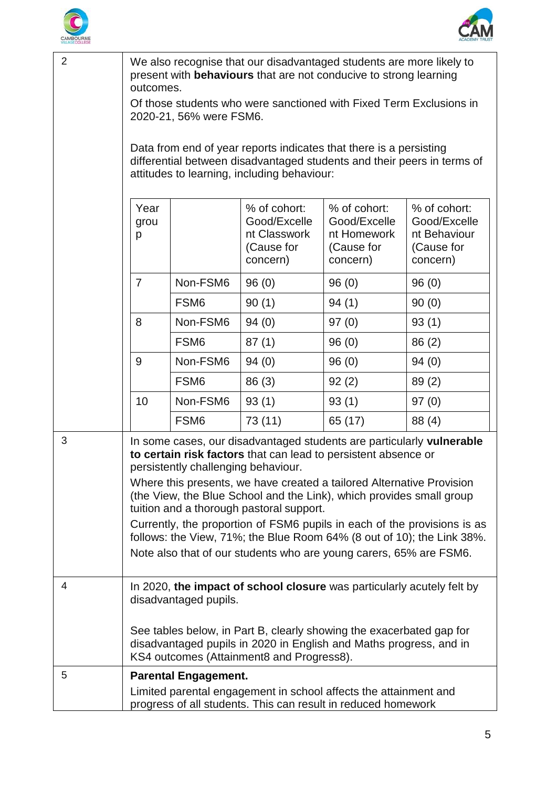



| $\overline{2}$ | We also recognise that our disadvantaged students are more likely to<br>present with <b>behaviours</b> that are not conducive to strong learning<br>outcomes.                                                                                                                                                                                                                                                                                                                                                                                                                                           |                  |                                                                        |                                                                       |                                                                        |
|----------------|---------------------------------------------------------------------------------------------------------------------------------------------------------------------------------------------------------------------------------------------------------------------------------------------------------------------------------------------------------------------------------------------------------------------------------------------------------------------------------------------------------------------------------------------------------------------------------------------------------|------------------|------------------------------------------------------------------------|-----------------------------------------------------------------------|------------------------------------------------------------------------|
|                | Of those students who were sanctioned with Fixed Term Exclusions in<br>2020-21, 56% were FSM6.                                                                                                                                                                                                                                                                                                                                                                                                                                                                                                          |                  |                                                                        |                                                                       |                                                                        |
|                | Data from end of year reports indicates that there is a persisting<br>differential between disadvantaged students and their peers in terms of<br>attitudes to learning, including behaviour:                                                                                                                                                                                                                                                                                                                                                                                                            |                  |                                                                        |                                                                       |                                                                        |
|                |                                                                                                                                                                                                                                                                                                                                                                                                                                                                                                                                                                                                         |                  |                                                                        |                                                                       |                                                                        |
|                | Year<br>grou<br>p                                                                                                                                                                                                                                                                                                                                                                                                                                                                                                                                                                                       |                  | % of cohort:<br>Good/Excelle<br>nt Classwork<br>(Cause for<br>concern) | % of cohort:<br>Good/Excelle<br>nt Homework<br>(Cause for<br>concern) | % of cohort:<br>Good/Excelle<br>nt Behaviour<br>(Cause for<br>concern) |
|                | $\overline{7}$                                                                                                                                                                                                                                                                                                                                                                                                                                                                                                                                                                                          | Non-FSM6         | 96(0)                                                                  | 96(0)                                                                 | 96(0)                                                                  |
|                |                                                                                                                                                                                                                                                                                                                                                                                                                                                                                                                                                                                                         | FSM <sub>6</sub> | 90(1)                                                                  | 94(1)                                                                 | 90(0)                                                                  |
|                | 8                                                                                                                                                                                                                                                                                                                                                                                                                                                                                                                                                                                                       | Non-FSM6         | 94(0)                                                                  | 97(0)                                                                 | 93(1)                                                                  |
|                |                                                                                                                                                                                                                                                                                                                                                                                                                                                                                                                                                                                                         | FSM <sub>6</sub> | 87(1)                                                                  | 96(0)                                                                 | 86 (2)                                                                 |
|                | 9                                                                                                                                                                                                                                                                                                                                                                                                                                                                                                                                                                                                       | Non-FSM6         | 94(0)                                                                  | 96(0)                                                                 | 94(0)                                                                  |
|                |                                                                                                                                                                                                                                                                                                                                                                                                                                                                                                                                                                                                         | FSM <sub>6</sub> | 86 (3)                                                                 | 92(2)                                                                 | 89(2)                                                                  |
|                | 10                                                                                                                                                                                                                                                                                                                                                                                                                                                                                                                                                                                                      | Non-FSM6         | 93(1)                                                                  | 93(1)                                                                 | 97(0)                                                                  |
|                |                                                                                                                                                                                                                                                                                                                                                                                                                                                                                                                                                                                                         | FSM <sub>6</sub> | 73 (11)                                                                | 65 (17)                                                               | 88 (4)                                                                 |
| 3              | In some cases, our disadvantaged students are particularly vulnerable<br>to certain risk factors that can lead to persistent absence or<br>persistently challenging behaviour.<br>Where this presents, we have created a tailored Alternative Provision<br>(the View, the Blue School and the Link), which provides small group<br>tuition and a thorough pastoral support.<br>Currently, the proportion of FSM6 pupils in each of the provisions is as<br>follows: the View, 71%; the Blue Room 64% (8 out of 10); the Link 38%.<br>Note also that of our students who are young carers, 65% are FSM6. |                  |                                                                        |                                                                       |                                                                        |
| 4              | In 2020, the impact of school closure was particularly acutely felt by<br>disadvantaged pupils.<br>See tables below, in Part B, clearly showing the exacerbated gap for<br>disadvantaged pupils in 2020 in English and Maths progress, and in<br>KS4 outcomes (Attainment8 and Progress8).                                                                                                                                                                                                                                                                                                              |                  |                                                                        |                                                                       |                                                                        |
| 5              | <b>Parental Engagement.</b><br>Limited parental engagement in school affects the attainment and                                                                                                                                                                                                                                                                                                                                                                                                                                                                                                         |                  |                                                                        |                                                                       |                                                                        |
|                | progress of all students. This can result in reduced homework                                                                                                                                                                                                                                                                                                                                                                                                                                                                                                                                           |                  |                                                                        |                                                                       |                                                                        |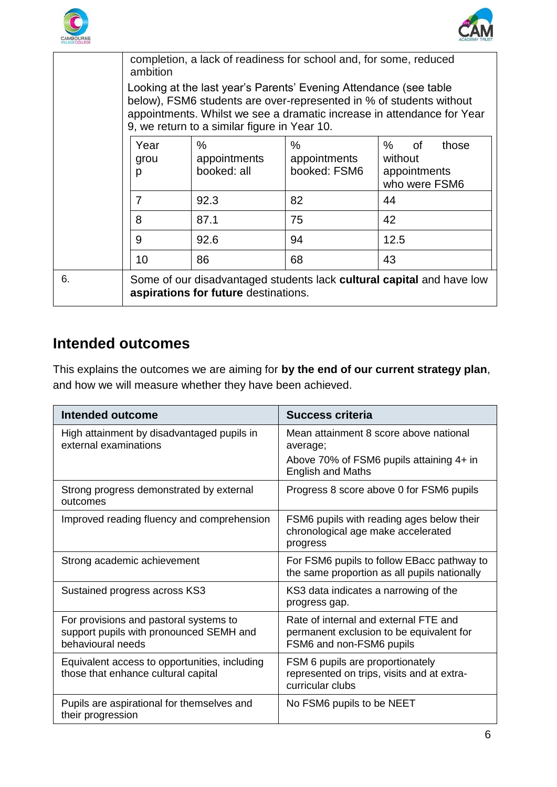



|    | completion, a lack of readiness for school and, for some, reduced<br>ambition                                                                                                                                                                                      |                                     |                                      |                                                              |
|----|--------------------------------------------------------------------------------------------------------------------------------------------------------------------------------------------------------------------------------------------------------------------|-------------------------------------|--------------------------------------|--------------------------------------------------------------|
|    | Looking at the last year's Parents' Evening Attendance (see table<br>below), FSM6 students are over-represented in % of students without<br>appointments. Whilst we see a dramatic increase in attendance for Year<br>9, we return to a similar figure in Year 10. |                                     |                                      |                                                              |
|    | Year<br>grou<br>p                                                                                                                                                                                                                                                  | $\%$<br>appointments<br>booked: all | $\%$<br>appointments<br>booked: FSM6 | %<br>of<br>those<br>without<br>appointments<br>who were FSM6 |
|    | $\overline{7}$                                                                                                                                                                                                                                                     | 92.3                                | 82                                   | 44                                                           |
|    | 8                                                                                                                                                                                                                                                                  | 87.1                                | 75                                   | 42                                                           |
|    | 9                                                                                                                                                                                                                                                                  | 92.6                                | 94                                   | 12.5                                                         |
|    | 10                                                                                                                                                                                                                                                                 | 86                                  | 68                                   | 43                                                           |
| 6. | Some of our disadvantaged students lack cultural capital and have low<br>aspirations for future destinations.                                                                                                                                                      |                                     |                                      |                                                              |

### **Intended outcomes**

This explains the outcomes we are aiming for **by the end of our current strategy plan**, and how we will measure whether they have been achieved.

| Intended outcome                                                                                       | Success criteria                                                                                              |
|--------------------------------------------------------------------------------------------------------|---------------------------------------------------------------------------------------------------------------|
| High attainment by disadvantaged pupils in<br>external examinations                                    | Mean attainment 8 score above national<br>average;                                                            |
|                                                                                                        | Above 70% of FSM6 pupils attaining 4+ in<br><b>English and Maths</b>                                          |
| Strong progress demonstrated by external<br>outcomes                                                   | Progress 8 score above 0 for FSM6 pupils                                                                      |
| Improved reading fluency and comprehension                                                             | FSM6 pupils with reading ages below their<br>chronological age make accelerated<br>progress                   |
| Strong academic achievement                                                                            | For FSM6 pupils to follow EBacc pathway to<br>the same proportion as all pupils nationally                    |
| Sustained progress across KS3                                                                          | KS3 data indicates a narrowing of the<br>progress gap.                                                        |
| For provisions and pastoral systems to<br>support pupils with pronounced SEMH and<br>behavioural needs | Rate of internal and external FTE and<br>permanent exclusion to be equivalent for<br>FSM6 and non-FSM6 pupils |
| Equivalent access to opportunities, including<br>those that enhance cultural capital                   | FSM 6 pupils are proportionately<br>represented on trips, visits and at extra-<br>curricular clubs            |
| Pupils are aspirational for themselves and<br>their progression                                        | No FSM6 pupils to be NEET                                                                                     |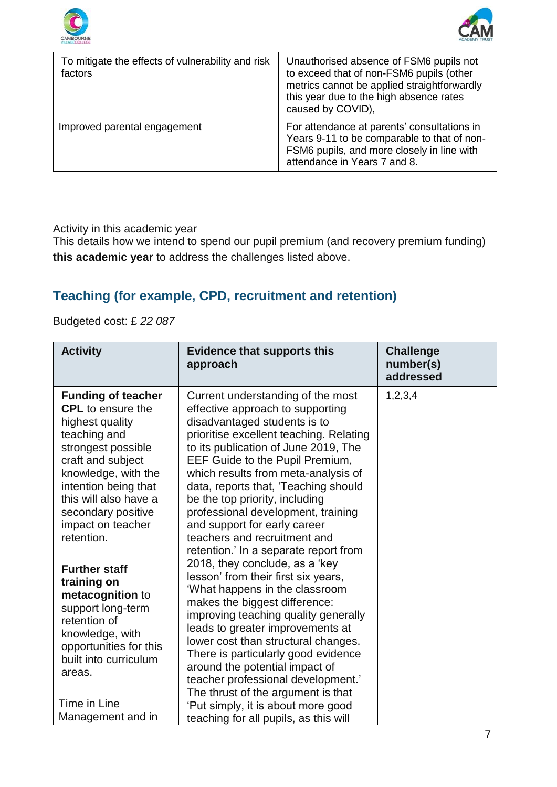



| To mitigate the effects of vulnerability and risk<br>factors | Unauthorised absence of FSM6 pupils not<br>to exceed that of non-FSM6 pupils (other<br>metrics cannot be applied straightforwardly<br>this year due to the high absence rates<br>caused by COVID), |
|--------------------------------------------------------------|----------------------------------------------------------------------------------------------------------------------------------------------------------------------------------------------------|
| Improved parental engagement                                 | For attendance at parents' consultations in<br>Years 9-11 to be comparable to that of non-<br>FSM6 pupils, and more closely in line with<br>attendance in Years 7 and 8.                           |

Activity in this academic year

This details how we intend to spend our pupil premium (and recovery premium funding) **this academic year** to address the challenges listed above.

### **Teaching (for example, CPD, recruitment and retention)**

Budgeted cost: £ *22 087*

| <b>Activity</b>                                                                                                                                                                                                                                                      | <b>Evidence that supports this</b><br>approach                                                                                                                                                                                                                                                                                                                                                                                                                                                                                                                                                                                                                                                                                                                                                                                                                                                                                | <b>Challenge</b><br>number(s)<br>addressed |
|----------------------------------------------------------------------------------------------------------------------------------------------------------------------------------------------------------------------------------------------------------------------|-------------------------------------------------------------------------------------------------------------------------------------------------------------------------------------------------------------------------------------------------------------------------------------------------------------------------------------------------------------------------------------------------------------------------------------------------------------------------------------------------------------------------------------------------------------------------------------------------------------------------------------------------------------------------------------------------------------------------------------------------------------------------------------------------------------------------------------------------------------------------------------------------------------------------------|--------------------------------------------|
| <b>Funding of teacher</b><br><b>CPL</b> to ensure the<br>highest quality<br>teaching and<br>strongest possible<br>craft and subject<br>knowledge, with the<br>intention being that<br>this will also have a<br>secondary positive<br>impact on teacher<br>retention. | 1, 2, 3, 4<br>Current understanding of the most<br>effective approach to supporting<br>disadvantaged students is to<br>prioritise excellent teaching. Relating<br>to its publication of June 2019, The<br>EEF Guide to the Pupil Premium,<br>which results from meta-analysis of<br>data, reports that, 'Teaching should<br>be the top priority, including<br>professional development, training<br>and support for early career<br>teachers and recruitment and<br>retention.' In a separate report from<br>2018, they conclude, as a 'key<br>lesson' from their first six years,<br>'What happens in the classroom<br>makes the biggest difference:<br>improving teaching quality generally<br>leads to greater improvements at<br>lower cost than structural changes.<br>There is particularly good evidence<br>around the potential impact of<br>teacher professional development.'<br>The thrust of the argument is that |                                            |
| <b>Further staff</b><br>training on<br>metacognition to<br>support long-term<br>retention of<br>knowledge, with<br>opportunities for this<br>built into curriculum<br>areas.                                                                                         |                                                                                                                                                                                                                                                                                                                                                                                                                                                                                                                                                                                                                                                                                                                                                                                                                                                                                                                               |                                            |
| Time in Line<br>Management and in                                                                                                                                                                                                                                    | 'Put simply, it is about more good<br>teaching for all pupils, as this will                                                                                                                                                                                                                                                                                                                                                                                                                                                                                                                                                                                                                                                                                                                                                                                                                                                   |                                            |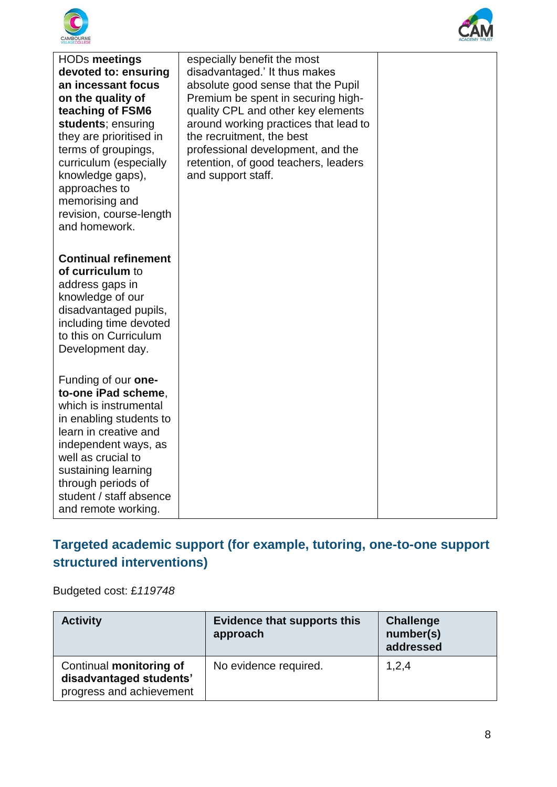



| <b>HODs meetings</b><br>devoted to: ensuring<br>an incessant focus<br>on the quality of<br>teaching of FSM6<br>students; ensuring<br>they are prioritised in<br>terms of groupings,<br>curriculum (especially<br>knowledge gaps),<br>approaches to<br>memorising and<br>revision, course-length<br>and homework. | especially benefit the most<br>disadvantaged.' It thus makes<br>absolute good sense that the Pupil<br>Premium be spent in securing high-<br>quality CPL and other key elements<br>around working practices that lead to<br>the recruitment, the best<br>professional development, and the<br>retention, of good teachers, leaders<br>and support staff. |  |
|------------------------------------------------------------------------------------------------------------------------------------------------------------------------------------------------------------------------------------------------------------------------------------------------------------------|---------------------------------------------------------------------------------------------------------------------------------------------------------------------------------------------------------------------------------------------------------------------------------------------------------------------------------------------------------|--|
| <b>Continual refinement</b><br>of curriculum to<br>address gaps in<br>knowledge of our<br>disadvantaged pupils,<br>including time devoted<br>to this on Curriculum<br>Development day.                                                                                                                           |                                                                                                                                                                                                                                                                                                                                                         |  |
| Funding of our one-<br>to-one iPad scheme,<br>which is instrumental<br>in enabling students to<br>learn in creative and<br>independent ways, as<br>well as crucial to<br>sustaining learning<br>through periods of<br>student / staff absence<br>and remote working.                                             |                                                                                                                                                                                                                                                                                                                                                         |  |

### **Targeted academic support (for example, tutoring, one-to-one support structured interventions)**

Budgeted cost: £*119748*

| <b>Activity</b>                                                                | <b>Evidence that supports this</b><br>approach | <b>Challenge</b><br>number(s)<br>addressed |
|--------------------------------------------------------------------------------|------------------------------------------------|--------------------------------------------|
| Continual monitoring of<br>disadvantaged students'<br>progress and achievement | No evidence required.                          | 1,2,4                                      |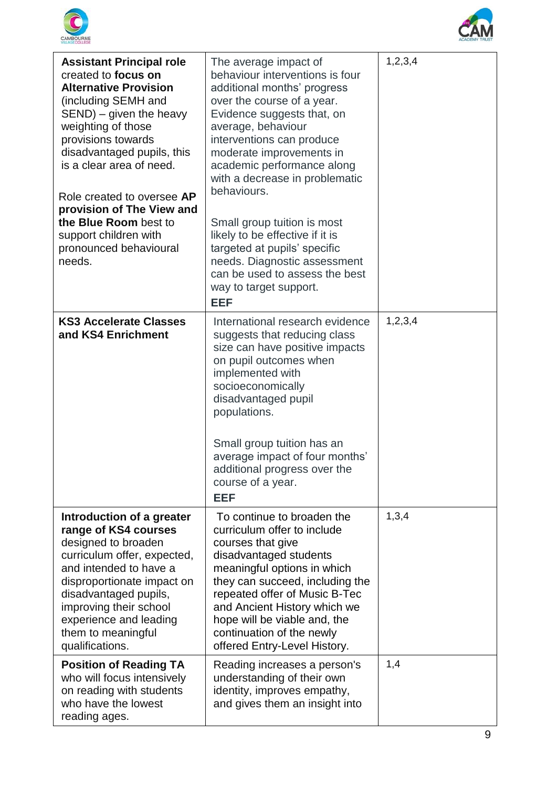



| <b>Assistant Principal role</b><br>created to focus on<br><b>Alternative Provision</b><br>(including SEMH and<br>$SEND$ ) – given the heavy<br>weighting of those<br>provisions towards<br>disadvantaged pupils, this<br>is a clear area of need.<br>Role created to oversee AP<br>provision of The View and<br>the Blue Room best to<br>support children with<br>pronounced behavioural<br>needs. | The average impact of<br>behaviour interventions is four<br>additional months' progress<br>over the course of a year.<br>Evidence suggests that, on<br>average, behaviour<br>interventions can produce<br>moderate improvements in<br>academic performance along<br>with a decrease in problematic<br>behaviours.<br>Small group tuition is most<br>likely to be effective if it is<br>targeted at pupils' specific<br>needs. Diagnostic assessment<br>can be used to assess the best<br>way to target support.<br><b>EEF</b> | 1, 2, 3, 4 |
|----------------------------------------------------------------------------------------------------------------------------------------------------------------------------------------------------------------------------------------------------------------------------------------------------------------------------------------------------------------------------------------------------|-------------------------------------------------------------------------------------------------------------------------------------------------------------------------------------------------------------------------------------------------------------------------------------------------------------------------------------------------------------------------------------------------------------------------------------------------------------------------------------------------------------------------------|------------|
| <b>KS3 Accelerate Classes</b><br>and KS4 Enrichment                                                                                                                                                                                                                                                                                                                                                | International research evidence<br>suggests that reducing class<br>size can have positive impacts<br>on pupil outcomes when<br>implemented with<br>socioeconomically<br>disadvantaged pupil<br>populations.<br>Small group tuition has an<br>average impact of four months'<br>additional progress over the<br>course of a year.<br><b>EEF</b>                                                                                                                                                                                | 1,2,3,4    |
| Introduction of a greater<br>range of KS4 courses<br>designed to broaden<br>curriculum offer, expected,<br>and intended to have a<br>disproportionate impact on<br>disadvantaged pupils,<br>improving their school<br>experience and leading<br>them to meaningful<br>qualifications.                                                                                                              | To continue to broaden the<br>curriculum offer to include<br>courses that give<br>disadvantaged students<br>meaningful options in which<br>they can succeed, including the<br>repeated offer of Music B-Tec<br>and Ancient History which we<br>hope will be viable and, the<br>continuation of the newly<br>offered Entry-Level History.                                                                                                                                                                                      | 1,3,4      |
| <b>Position of Reading TA</b><br>who will focus intensively<br>on reading with students<br>who have the lowest<br>reading ages.                                                                                                                                                                                                                                                                    | Reading increases a person's<br>understanding of their own<br>identity, improves empathy,<br>and gives them an insight into                                                                                                                                                                                                                                                                                                                                                                                                   | 1,4        |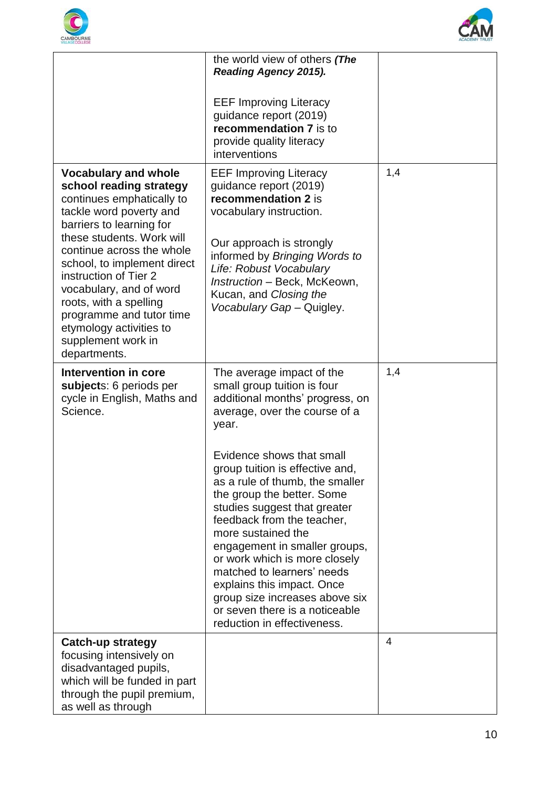



|                                                                                                                                                                                                                                                                  | the world view of others (The<br><b>Reading Agency 2015).</b>                                                                                                                                                                                                                                                                                                                                                                                      |     |
|------------------------------------------------------------------------------------------------------------------------------------------------------------------------------------------------------------------------------------------------------------------|----------------------------------------------------------------------------------------------------------------------------------------------------------------------------------------------------------------------------------------------------------------------------------------------------------------------------------------------------------------------------------------------------------------------------------------------------|-----|
|                                                                                                                                                                                                                                                                  | <b>EEF Improving Literacy</b><br>guidance report (2019)<br>recommendation 7 is to<br>provide quality literacy<br>interventions                                                                                                                                                                                                                                                                                                                     |     |
| <b>Vocabulary and whole</b><br>school reading strategy<br>continues emphatically to<br>tackle word poverty and<br>barriers to learning for                                                                                                                       | <b>EEF Improving Literacy</b><br>guidance report (2019)<br>recommendation 2 is<br>vocabulary instruction.                                                                                                                                                                                                                                                                                                                                          | 1,4 |
| these students. Work will<br>continue across the whole<br>school, to implement direct<br>instruction of Tier 2<br>vocabulary, and of word<br>roots, with a spelling<br>programme and tutor time<br>etymology activities to<br>supplement work in<br>departments. | Our approach is strongly<br>informed by Bringing Words to<br>Life: Robust Vocabulary<br>Instruction - Beck, McKeown,<br>Kucan, and Closing the<br>Vocabulary Gap - Quigley.                                                                                                                                                                                                                                                                        |     |
| <b>Intervention in core</b><br>subjects: 6 periods per<br>cycle in English, Maths and<br>Science.                                                                                                                                                                | The average impact of the<br>small group tuition is four<br>additional months' progress, on<br>average, over the course of a<br>year.                                                                                                                                                                                                                                                                                                              | 1,4 |
|                                                                                                                                                                                                                                                                  | Evidence shows that small<br>group tuition is effective and,<br>as a rule of thumb, the smaller<br>the group the better. Some<br>studies suggest that greater<br>feedback from the teacher,<br>more sustained the<br>engagement in smaller groups,<br>or work which is more closely<br>matched to learners' needs<br>explains this impact. Once<br>group size increases above six<br>or seven there is a noticeable<br>reduction in effectiveness. |     |
| Catch-up strategy<br>focusing intensively on<br>disadvantaged pupils,<br>which will be funded in part<br>through the pupil premium,<br>as well as through                                                                                                        |                                                                                                                                                                                                                                                                                                                                                                                                                                                    | 4   |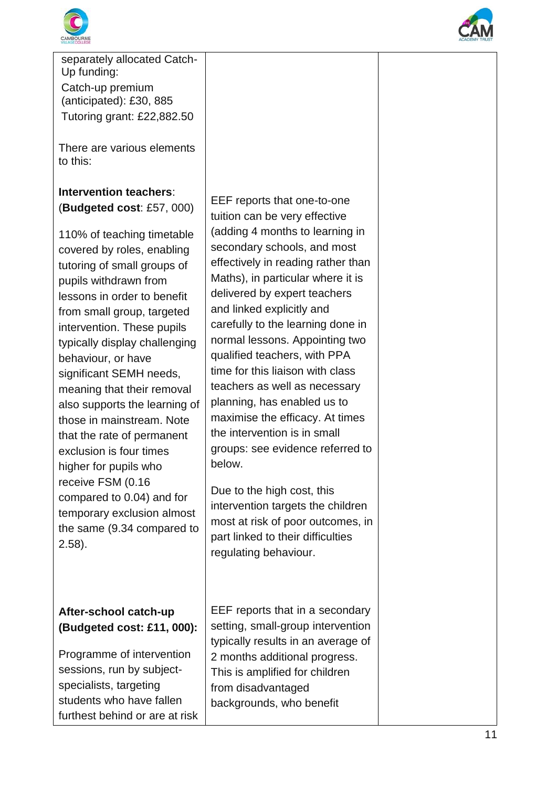



separately allocated Catch - Up funding: Catch -up premium (anticipated): £30, 885 Tutoring grant: £22,882.50

There are various elements to this:

**Intervention teachers**: (**Budgeted cost**: £57, 000)

110% of teaching timetable covered by roles, enabling tutoring of small groups of pupils withdrawn from lessons in order to benefit from small group, targeted intervention. These pupils typically display challenging behaviour, or have significant SEMH needs, meaning that their removal also supports the learning of those in mainstream. Note that the rate of permanent exclusion is four times higher for pupils who receive FSM (0.16 compared to 0.04) and for temporary exclusion almost the same (9.34 compared to 2.58).

### **After -school catch -up (Budgeted cost: £11, 000):**

Programme of intervention sessions, run by subject specialists, targeting students who have fallen furthest behind or are at risk

EEF reports that one-to-one tuition can be very effective (adding 4 months to learning in secondary schools, and most effectively in reading rather than Maths), in particular where it is delivered by expert teachers and linked explicitly and carefully to the learning done in normal lessons. Appointing two qualified teachers, with PPA time for this liaison with class teachers as well as necessary planning, has enabled us to maximise the efficacy. At times the intervention is in small groups: see evidence referred to below.

Due to the high cost, this intervention targets the children most at risk of poor outcomes, in part linked to their difficulties regulating behaviour.

EEF reports that in a secondary setting, small -group intervention typically results in an average of 2 months additional progress. This is amplified for children from disadvantaged backgrounds, who benefit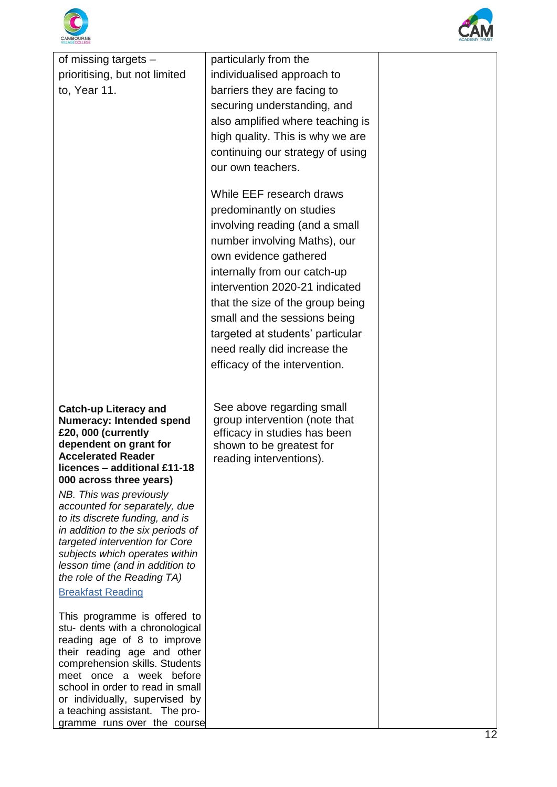



| of missing targets $-$                                           | particularly from the                               |  |
|------------------------------------------------------------------|-----------------------------------------------------|--|
| prioritising, but not limited                                    | individualised approach to                          |  |
| to, Year 11.                                                     | barriers they are facing to                         |  |
|                                                                  | securing understanding, and                         |  |
|                                                                  | also amplified where teaching is                    |  |
|                                                                  | high quality. This is why we are                    |  |
|                                                                  | continuing our strategy of using                    |  |
|                                                                  | our own teachers.                                   |  |
|                                                                  | While EEF research draws                            |  |
|                                                                  | predominantly on studies                            |  |
|                                                                  | involving reading (and a small                      |  |
|                                                                  | number involving Maths), our                        |  |
|                                                                  | own evidence gathered                               |  |
|                                                                  | internally from our catch-up                        |  |
|                                                                  | intervention 2020-21 indicated                      |  |
|                                                                  | that the size of the group being                    |  |
|                                                                  | small and the sessions being                        |  |
|                                                                  | targeted at students' particular                    |  |
|                                                                  | need really did increase the                        |  |
|                                                                  | efficacy of the intervention.                       |  |
|                                                                  |                                                     |  |
| <b>Catch-up Literacy and</b>                                     | See above regarding small                           |  |
| <b>Numeracy: Intended spend</b>                                  | group intervention (note that                       |  |
| £20, 000 (currently                                              | efficacy in studies has been                        |  |
| dependent on grant for<br><b>Accelerated Reader</b>              | shown to be greatest for<br>reading interventions). |  |
| licences - additional £11-18                                     |                                                     |  |
| 000 across three years)                                          |                                                     |  |
| NB. This was previously<br>accounted for separately, due         |                                                     |  |
| to its discrete funding, and is                                  |                                                     |  |
| in addition to the six periods of                                |                                                     |  |
| targeted intervention for Core<br>subjects which operates within |                                                     |  |
| lesson time (and in addition to                                  |                                                     |  |
| the role of the Reading TA)                                      |                                                     |  |
| <b>Breakfast Reading</b>                                         |                                                     |  |
| This programme is offered to                                     |                                                     |  |
| stu- dents with a chronological                                  |                                                     |  |
| reading age of 8 to improve<br>their reading age and other       |                                                     |  |
| comprehension skills. Students                                   |                                                     |  |
| meet once a week before<br>school in order to read in small      |                                                     |  |
| or individually, supervised by                                   |                                                     |  |
| a teaching assistant. The pro-                                   |                                                     |  |
| gramme runs over the course                                      |                                                     |  |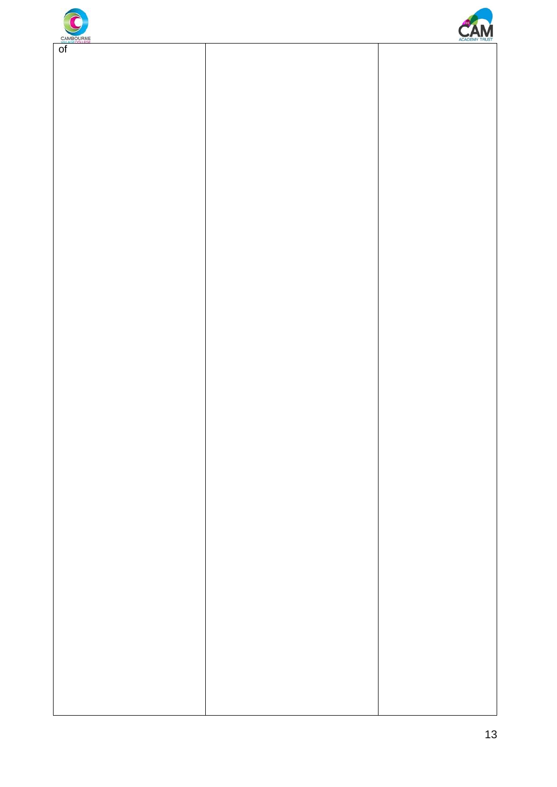



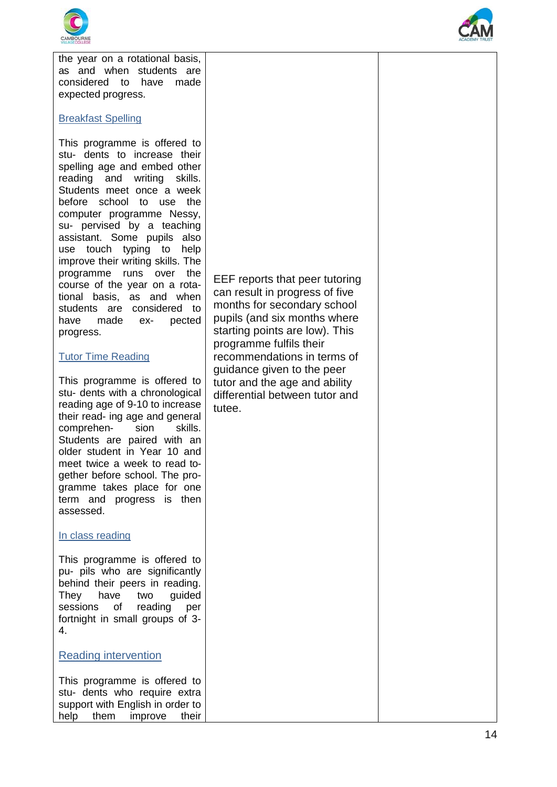

the year on a rotational basis, as and when students are considered to have made expected progress.

#### Breakfast Spelling

This programme is offered to stu - dents to increase their spelling age and embed other reading and writing skills. Students meet once a week before school to use the computer programme Nessy, su - pervised by a teaching assistant. Some pupils also use touch typing to help improve their writing skills. The programme runs over the course of the year on a rota tional basis, as and when students are considered to have made ex - pected progress.

#### Tutor Time Reading

This programme is offered to stu - dents with a chronological reading age of 9 -10 to increase their read - ing age and general comprehen - sion skills. Students are paired with an older student in Year 10 and meet twice a week to read to gether before school. The pro gramme takes place for one term and progress is then assessed.

#### In class reading

This programme is offered to pu - pils who are significantly behind their peers in reading. They have two guided sessions of reading per fortnight in small groups of 3 - 4.

#### Reading intervention

This programme is offered to stu - dents who require extra support with English in order to help them improve their EEF reports that peer tutoring can result in progress of five months for secondary school pupils (and six months where starting points are low). This programme fulfils their recommendations in terms of guidance given to the peer tutor and the age and ability differential between tutor and tutee.

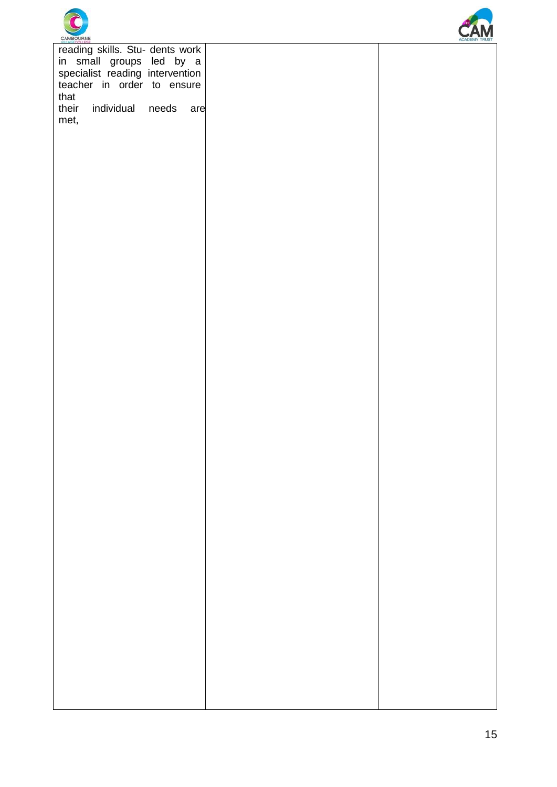



|                       | reading skills. Stu- dents work<br>in small groups led by a<br>specialist reading intervention<br>teacher in order to ensure |       |     |
|-----------------------|------------------------------------------------------------------------------------------------------------------------------|-------|-----|
| that<br>their<br>met, | individual                                                                                                                   | needs | are |
|                       |                                                                                                                              |       |     |
|                       |                                                                                                                              |       |     |
|                       |                                                                                                                              |       |     |
|                       |                                                                                                                              |       |     |
|                       |                                                                                                                              |       |     |
|                       |                                                                                                                              |       |     |
|                       |                                                                                                                              |       |     |
|                       |                                                                                                                              |       |     |
|                       |                                                                                                                              |       |     |
|                       |                                                                                                                              |       |     |
|                       |                                                                                                                              |       |     |
|                       |                                                                                                                              |       |     |
|                       |                                                                                                                              |       |     |
|                       |                                                                                                                              |       |     |
|                       |                                                                                                                              |       |     |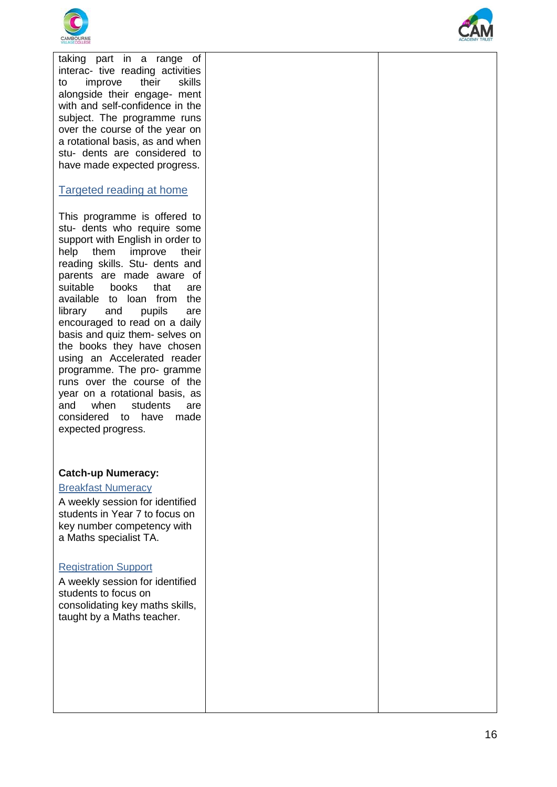



taking part in a range of interac - tive reading activities to improve their skills alongside their engage - ment with and self -confidence in the subject. The programme runs over the course of the year on a rotational basis, as and when stu - dents are considered to have made expected progress.

#### Targeted reading at home

This programme is offered to stu - dents who require some support with English in order to help them improve their reading skills. Stu - dents and parents are made aware of suitable books that are available to loan from the library and pupils are encouraged to read on a daily basis and quiz them - selves on the books they have chosen using an Accelerated reader programme. The pro - gramme runs over the course of the year on a rotational basis, as<br>and when students are considered to have made expected progress.

#### **Catch -up Numeracy:**

#### Breakfast Numeracy

A weekly session for identified students in Year 7 to focus on key number competency with a Maths specialist TA.

#### Registration Support

A weekly session for identified students to focus on consolidating key maths skills, taught by a Maths teacher.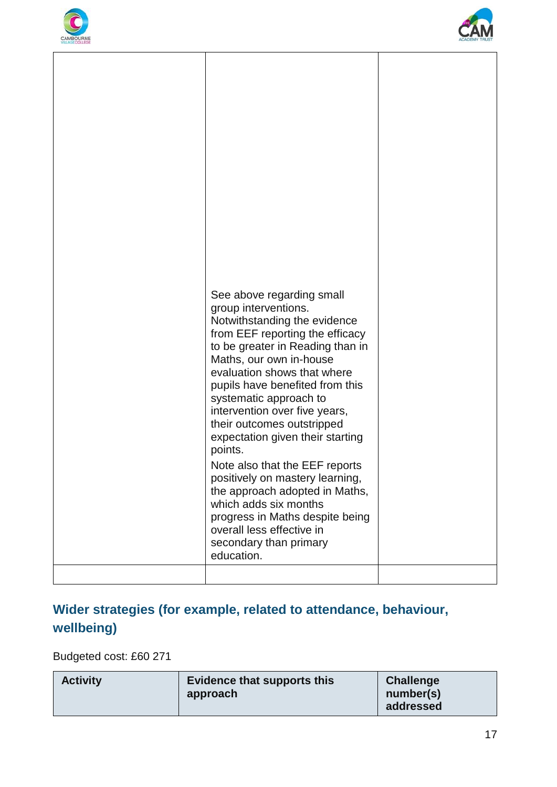



| See above regarding small<br>group interventions.<br>Notwithstanding the evidence<br>from EEF reporting the efficacy<br>to be greater in Reading than in<br>Maths, our own in-house<br>evaluation shows that where<br>pupils have benefited from this<br>systematic approach to<br>intervention over five years,<br>their outcomes outstripped<br>expectation given their starting<br>points.<br>Note also that the EEF reports<br>positively on mastery learning,<br>the approach adopted in Maths,<br>which adds six months<br>progress in Maths despite being<br>overall less effective in<br>secondary than primary<br>education. |  |
|---------------------------------------------------------------------------------------------------------------------------------------------------------------------------------------------------------------------------------------------------------------------------------------------------------------------------------------------------------------------------------------------------------------------------------------------------------------------------------------------------------------------------------------------------------------------------------------------------------------------------------------|--|
|                                                                                                                                                                                                                                                                                                                                                                                                                                                                                                                                                                                                                                       |  |

### **Wider strategies (for example, related to attendance, behaviour, wellbeing)**

Budgeted cost: £60 271

| <b>Activity</b> | <b>Evidence that supports this</b><br>approach | <b>Challenge</b><br>number(s)<br>addressed |
|-----------------|------------------------------------------------|--------------------------------------------|
|                 |                                                |                                            |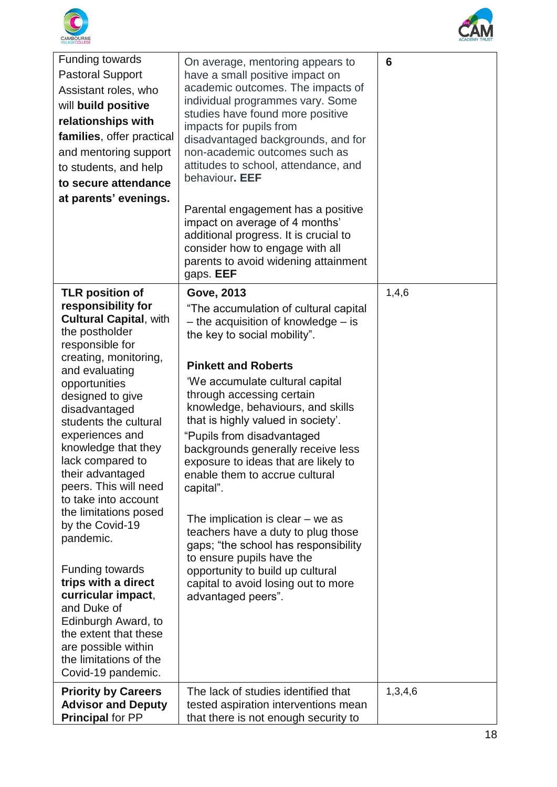



| Funding towards<br><b>Pastoral Support</b><br>Assistant roles, who<br>will build positive<br>relationships with<br>families, offer practical<br>and mentoring support<br>to students, and help<br>to secure attendance<br>at parents' evenings.                                                                                                                                                                                                                                                                                                                                                                                                       | On average, mentoring appears to<br>have a small positive impact on<br>academic outcomes. The impacts of<br>individual programmes vary. Some<br>studies have found more positive<br>impacts for pupils from<br>disadvantaged backgrounds, and for<br>non-academic outcomes such as<br>attitudes to school, attendance, and<br>behaviour. EEF<br>Parental engagement has a positive<br>impact on average of 4 months'<br>additional progress. It is crucial to<br>consider how to engage with all<br>parents to avoid widening attainment<br>gaps. EEF                                                                                                                                                                       | $6\phantom{1}6$ |
|-------------------------------------------------------------------------------------------------------------------------------------------------------------------------------------------------------------------------------------------------------------------------------------------------------------------------------------------------------------------------------------------------------------------------------------------------------------------------------------------------------------------------------------------------------------------------------------------------------------------------------------------------------|-----------------------------------------------------------------------------------------------------------------------------------------------------------------------------------------------------------------------------------------------------------------------------------------------------------------------------------------------------------------------------------------------------------------------------------------------------------------------------------------------------------------------------------------------------------------------------------------------------------------------------------------------------------------------------------------------------------------------------|-----------------|
| <b>TLR position of</b><br>responsibility for<br><b>Cultural Capital, with</b><br>the postholder<br>responsible for<br>creating, monitoring,<br>and evaluating<br>opportunities<br>designed to give<br>disadvantaged<br>students the cultural<br>experiences and<br>knowledge that they<br>lack compared to<br>their advantaged<br>peers. This will need<br>to take into account<br>the limitations posed<br>by the Covid-19<br>pandemic.<br><b>Funding towards</b><br>trips with a direct<br>curricular impact,<br>and Duke of<br>Edinburgh Award, to<br>the extent that these<br>are possible within<br>the limitations of the<br>Covid-19 pandemic. | <b>Gove, 2013</b><br>"The accumulation of cultural capital<br>$-$ the acquisition of knowledge $-$ is<br>the key to social mobility".<br><b>Pinkett and Roberts</b><br>'We accumulate cultural capital<br>through accessing certain<br>knowledge, behaviours, and skills<br>that is highly valued in society'.<br>"Pupils from disadvantaged<br>backgrounds generally receive less<br>exposure to ideas that are likely to<br>enable them to accrue cultural<br>capital".<br>The implication is clear $-$ we as<br>teachers have a duty to plug those<br>gaps; "the school has responsibility<br>to ensure pupils have the<br>opportunity to build up cultural<br>capital to avoid losing out to more<br>advantaged peers". | 1,4,6           |
| <b>Priority by Careers</b><br><b>Advisor and Deputy</b><br><b>Principal for PP</b>                                                                                                                                                                                                                                                                                                                                                                                                                                                                                                                                                                    | The lack of studies identified that<br>tested aspiration interventions mean<br>that there is not enough security to                                                                                                                                                                                                                                                                                                                                                                                                                                                                                                                                                                                                         | 1,3,4,6         |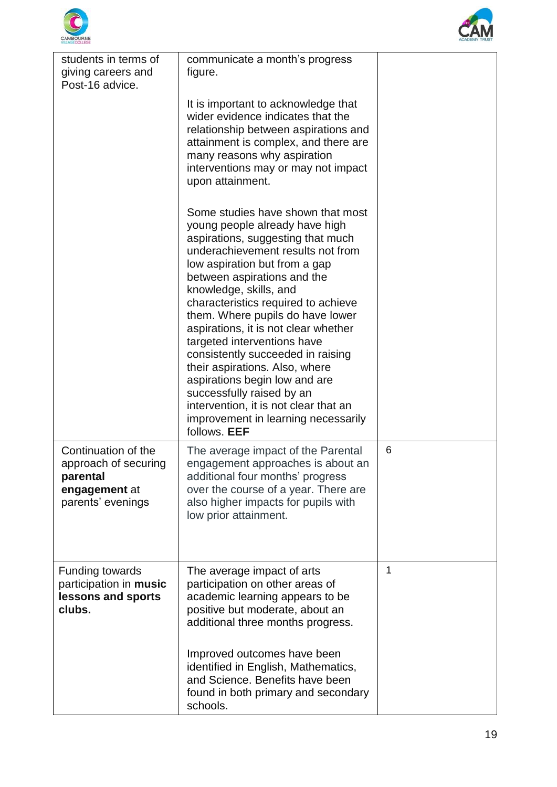



| students in terms of<br>giving careers and<br>Post-16 advice.                                 | communicate a month's progress<br>figure.                                                                                                                                                                                                                                                                                                                                                                                                                                                                                                                                                                                      |   |
|-----------------------------------------------------------------------------------------------|--------------------------------------------------------------------------------------------------------------------------------------------------------------------------------------------------------------------------------------------------------------------------------------------------------------------------------------------------------------------------------------------------------------------------------------------------------------------------------------------------------------------------------------------------------------------------------------------------------------------------------|---|
|                                                                                               | It is important to acknowledge that<br>wider evidence indicates that the<br>relationship between aspirations and<br>attainment is complex, and there are<br>many reasons why aspiration<br>interventions may or may not impact<br>upon attainment.                                                                                                                                                                                                                                                                                                                                                                             |   |
|                                                                                               | Some studies have shown that most<br>young people already have high<br>aspirations, suggesting that much<br>underachievement results not from<br>low aspiration but from a gap<br>between aspirations and the<br>knowledge, skills, and<br>characteristics required to achieve<br>them. Where pupils do have lower<br>aspirations, it is not clear whether<br>targeted interventions have<br>consistently succeeded in raising<br>their aspirations. Also, where<br>aspirations begin low and are<br>successfully raised by an<br>intervention, it is not clear that an<br>improvement in learning necessarily<br>follows. EEF |   |
| Continuation of the<br>approach of securing<br>parental<br>engagement at<br>parents' evenings | The average impact of the Parental<br>engagement approaches is about an<br>additional four months' progress<br>over the course of a year. There are<br>also higher impacts for pupils with<br>low prior attainment.                                                                                                                                                                                                                                                                                                                                                                                                            | 6 |
| <b>Funding towards</b><br>participation in music<br>lessons and sports<br>clubs.              | The average impact of arts<br>participation on other areas of<br>academic learning appears to be<br>positive but moderate, about an<br>additional three months progress.<br>Improved outcomes have been<br>identified in English, Mathematics,<br>and Science. Benefits have been                                                                                                                                                                                                                                                                                                                                              | 1 |
|                                                                                               | found in both primary and secondary<br>schools.                                                                                                                                                                                                                                                                                                                                                                                                                                                                                                                                                                                |   |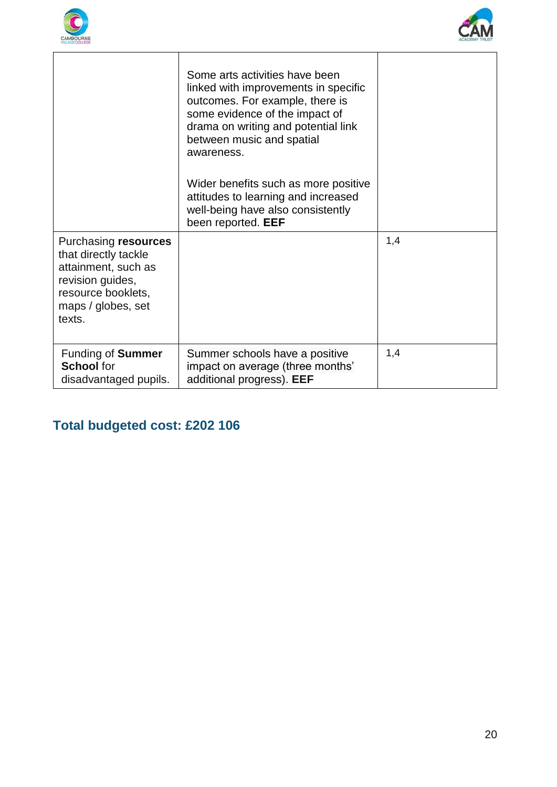



|                                                                                                                                               | Some arts activities have been<br>linked with improvements in specific<br>outcomes. For example, there is<br>some evidence of the impact of<br>drama on writing and potential link<br>between music and spatial<br>awareness.<br>Wider benefits such as more positive<br>attitudes to learning and increased<br>well-being have also consistently<br>been reported. EEF |     |
|-----------------------------------------------------------------------------------------------------------------------------------------------|-------------------------------------------------------------------------------------------------------------------------------------------------------------------------------------------------------------------------------------------------------------------------------------------------------------------------------------------------------------------------|-----|
| Purchasing resources<br>that directly tackle<br>attainment, such as<br>revision guides,<br>resource booklets,<br>maps / globes, set<br>texts. |                                                                                                                                                                                                                                                                                                                                                                         | 1,4 |
| Funding of <b>Summer</b><br><b>School</b> for<br>disadvantaged pupils.                                                                        | Summer schools have a positive<br>impact on average (three months'<br>additional progress). EEF                                                                                                                                                                                                                                                                         | 1,4 |

## **Total budgeted cost: £202 106**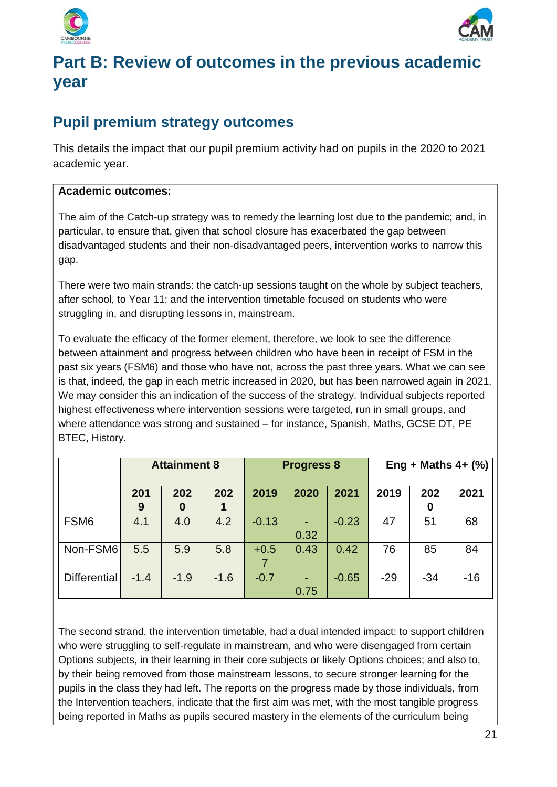



## **Part B: Review of outcomes in the previous academic year**

## **Pupil premium strategy outcomes**

This details the impact that our pupil premium activity had on pupils in the 2020 to 2021 academic year.

#### **Academic outcomes:**

The aim of the Catch-up strategy was to remedy the learning lost due to the pandemic; and, in particular, to ensure that, given that school closure has exacerbated the gap between disadvantaged students and their non-disadvantaged peers, intervention works to narrow this gap.

There were two main strands: the catch-up sessions taught on the whole by subject teachers, after school, to Year 11; and the intervention timetable focused on students who were struggling in, and disrupting lessons in, mainstream.

To evaluate the efficacy of the former element, therefore, we look to see the difference between attainment and progress between children who have been in receipt of FSM in the past six years (FSM6) and those who have not, across the past three years. What we can see is that, indeed, the gap in each metric increased in 2020, but has been narrowed again in 2021. We may consider this an indication of the success of the strategy. Individual subjects reported highest effectiveness where intervention sessions were targeted, run in small groups, and where attendance was strong and sustained – for instance, Spanish, Maths, GCSE DT, PE BTEC, History.

|                     | <b>Attainment 8</b> |                         | <b>Progress 8</b> |         |      | Eng + Maths $4 + (\%)$ |       |          |       |
|---------------------|---------------------|-------------------------|-------------------|---------|------|------------------------|-------|----------|-------|
|                     | 201<br>9            | 202<br>$\boldsymbol{0}$ | 202<br>1          | 2019    | 2020 | 2021                   | 2019  | 202<br>0 | 2021  |
| FSM <sub>6</sub>    | 4.1                 | 4.0                     | 4.2               | $-0.13$ | 0.32 | $-0.23$                | 47    | 51       | 68    |
| Non-FSM6            | 5.5                 | 5.9                     | 5.8               | $+0.5$  | 0.43 | 0.42                   | 76    | 85       | 84    |
| <b>Differential</b> | $-1.4$              | $-1.9$                  | $-1.6$            | $-0.7$  | 0.75 | $-0.65$                | $-29$ | $-34$    | $-16$ |

The second strand, the intervention timetable, had a dual intended impact: to support children who were struggling to self-regulate in mainstream, and who were disengaged from certain Options subjects, in their learning in their core subjects or likely Options choices; and also to, by their being removed from those mainstream lessons, to secure stronger learning for the pupils in the class they had left. The reports on the progress made by those individuals, from the Intervention teachers, indicate that the first aim was met, with the most tangible progress being reported in Maths as pupils secured mastery in the elements of the curriculum being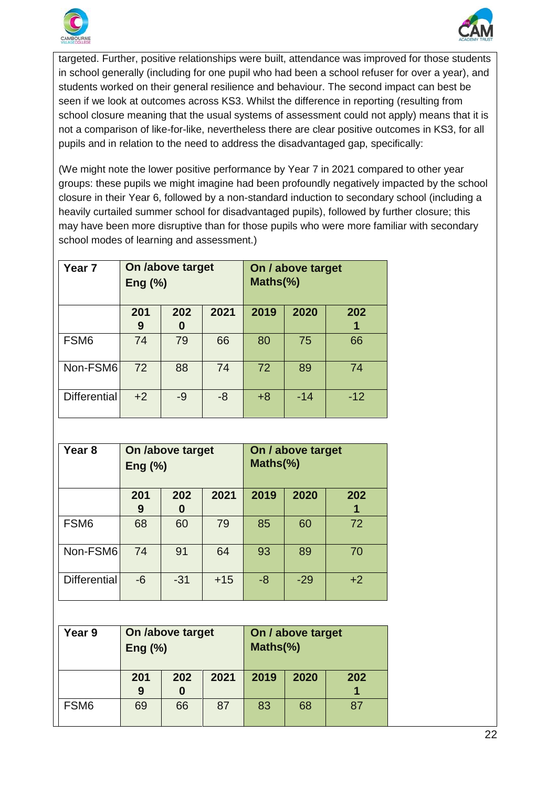



targeted. Further, positive relationships were built, attendance was improved for those students in school generally (including for one pupil who had been a school refuser for over a year), and students worked on their general resilience and behaviour. The second impact can best be seen if we look at outcomes across KS3. Whilst the difference in reporting (resulting from school closure meaning that the usual systems of assessment could not apply) means that it is not a comparison of like-for-like, nevertheless there are clear positive outcomes in KS3, for all pupils and in relation to the need to address the disadvantaged gap, specifically:

(We might note the lower positive performance by Year 7 in 2021 compared to other year groups: these pupils we might imagine had been profoundly negatively impacted by the school closure in their Year 6, followed by a non-standard induction to secondary school (including a heavily curtailed summer school for disadvantaged pupils), followed by further closure; this may have been more disruptive than for those pupils who were more familiar with secondary school modes of learning and assessment.)

| Year <sub>7</sub>   | On <i>l</i> above target<br>Eng $(\%)$ |          |      | On / above target<br>Maths(%) |       |          |
|---------------------|----------------------------------------|----------|------|-------------------------------|-------|----------|
|                     | 201<br>9                               | 202<br>0 | 2021 | 2019                          | 2020  | 202<br>1 |
| FSM <sub>6</sub>    | 74                                     | 79       | 66   | 80                            | 75    | 66       |
| Non-FSM6            | 72                                     | 88       | 74   | 72                            | 89    | 74       |
| <b>Differential</b> | $+2$                                   | $-9$     | -8   | $+8$                          | $-14$ | $-12$    |

| Year <sub>8</sub>   | On <i>l</i> above target<br>Eng $(\%)$ |          |       | On / above target<br>Maths(%) |       |      |
|---------------------|----------------------------------------|----------|-------|-------------------------------|-------|------|
|                     | 201<br>9                               | 202<br>0 | 2021  | 2019                          | 2020  | 202  |
| FSM <sub>6</sub>    | 68                                     | 60       | 79    | 85                            | 60    | 72   |
| Non-FSM6            | 74                                     | 91       | 64    | 93                            | 89    | 70   |
| <b>Differential</b> | $-6$                                   | $-31$    | $+15$ | $-8$                          | $-29$ | $+2$ |

| Year 9           | On /above target<br>Eng $(\%)$ |     |      | On / above target<br>Maths(%) |      |     |
|------------------|--------------------------------|-----|------|-------------------------------|------|-----|
|                  | 201<br>9                       | 202 | 2021 | 2019                          | 2020 | 202 |
| FSM <sub>6</sub> | 69                             | 66  | 87   | 83                            | 68   | 87  |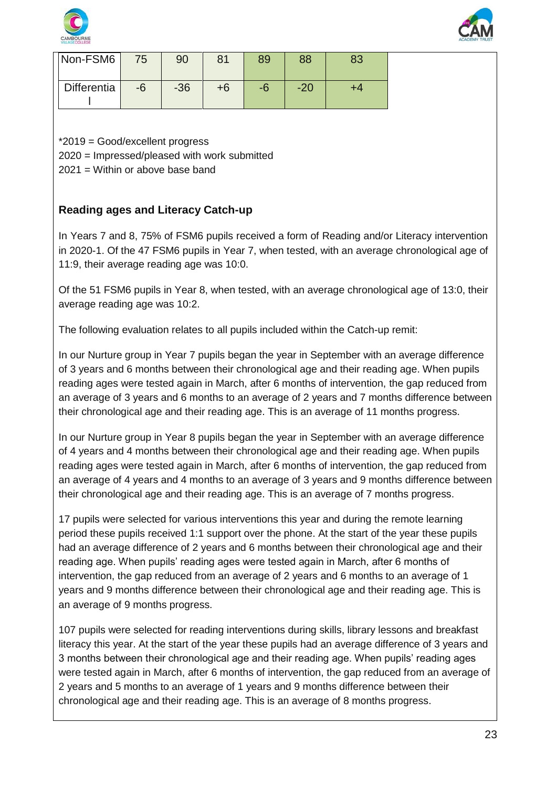



| Non-FSM6    | 75   | 90    | 81   | 89 | 88    | 83 |
|-------------|------|-------|------|----|-------|----|
| Differentia | $-6$ | $-36$ | $+6$ | -6 | $-20$ |    |

\*2019 = Good/excellent progress

2020 = Impressed/pleased with work submitted

2021 = Within or above base band

#### **Reading ages and Literacy Catch-up**

In Years 7 and 8, 75% of FSM6 pupils received a form of Reading and/or Literacy intervention in 2020-1. Of the 47 FSM6 pupils in Year 7, when tested, with an average chronological age of 11:9, their average reading age was 10:0.

Of the 51 FSM6 pupils in Year 8, when tested, with an average chronological age of 13:0, their average reading age was 10:2.

The following evaluation relates to all pupils included within the Catch-up remit:

In our Nurture group in Year 7 pupils began the year in September with an average difference of 3 years and 6 months between their chronological age and their reading age. When pupils reading ages were tested again in March, after 6 months of intervention, the gap reduced from an average of 3 years and 6 months to an average of 2 years and 7 months difference between their chronological age and their reading age. This is an average of 11 months progress.

In our Nurture group in Year 8 pupils began the year in September with an average difference of 4 years and 4 months between their chronological age and their reading age. When pupils reading ages were tested again in March, after 6 months of intervention, the gap reduced from an average of 4 years and 4 months to an average of 3 years and 9 months difference between their chronological age and their reading age. This is an average of 7 months progress.

17 pupils were selected for various interventions this year and during the remote learning period these pupils received 1:1 support over the phone. At the start of the year these pupils had an average difference of 2 years and 6 months between their chronological age and their reading age. When pupils' reading ages were tested again in March, after 6 months of intervention, the gap reduced from an average of 2 years and 6 months to an average of 1 years and 9 months difference between their chronological age and their reading age. This is an average of 9 months progress.

107 pupils were selected for reading interventions during skills, library lessons and breakfast literacy this year. At the start of the year these pupils had an average difference of 3 years and 3 months between their chronological age and their reading age. When pupils' reading ages were tested again in March, after 6 months of intervention, the gap reduced from an average of 2 years and 5 months to an average of 1 years and 9 months difference between their chronological age and their reading age. This is an average of 8 months progress.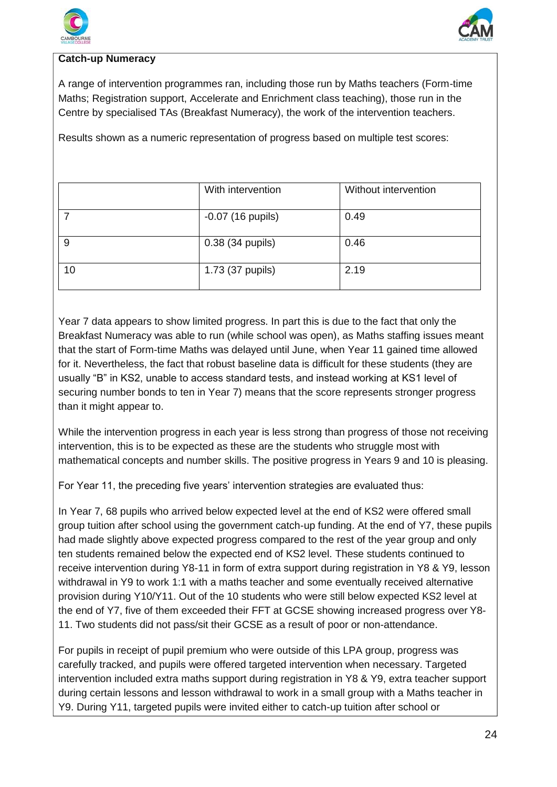



#### **Catch-up Numeracy**

A range of intervention programmes ran, including those run by Maths teachers (Form-time Maths; Registration support, Accelerate and Enrichment class teaching), those run in the Centre by specialised TAs (Breakfast Numeracy), the work of the intervention teachers.

Results shown as a numeric representation of progress based on multiple test scores:

|    | With intervention   | Without intervention |
|----|---------------------|----------------------|
|    | $-0.07$ (16 pupils) | 0.49                 |
| 9  | 0.38 (34 pupils)    | 0.46                 |
| 10 | 1.73 (37 pupils)    | 2.19                 |

Year 7 data appears to show limited progress. In part this is due to the fact that only the Breakfast Numeracy was able to run (while school was open), as Maths staffing issues meant that the start of Form-time Maths was delayed until June, when Year 11 gained time allowed for it. Nevertheless, the fact that robust baseline data is difficult for these students (they are usually "B" in KS2, unable to access standard tests, and instead working at KS1 level of securing number bonds to ten in Year 7) means that the score represents stronger progress than it might appear to.

While the intervention progress in each year is less strong than progress of those not receiving intervention, this is to be expected as these are the students who struggle most with mathematical concepts and number skills. The positive progress in Years 9 and 10 is pleasing.

For Year 11, the preceding five years' intervention strategies are evaluated thus:

In Year 7, 68 pupils who arrived below expected level at the end of KS2 were offered small group tuition after school using the government catch-up funding. At the end of Y7, these pupils had made slightly above expected progress compared to the rest of the year group and only ten students remained below the expected end of KS2 level. These students continued to receive intervention during Y8-11 in form of extra support during registration in Y8 & Y9, lesson withdrawal in Y9 to work 1:1 with a maths teacher and some eventually received alternative provision during Y10/Y11. Out of the 10 students who were still below expected KS2 level at the end of Y7, five of them exceeded their FFT at GCSE showing increased progress over Y8- 11. Two students did not pass/sit their GCSE as a result of poor or non-attendance.

For pupils in receipt of pupil premium who were outside of this LPA group, progress was carefully tracked, and pupils were offered targeted intervention when necessary. Targeted intervention included extra maths support during registration in Y8 & Y9, extra teacher support during certain lessons and lesson withdrawal to work in a small group with a Maths teacher in Y9. During Y11, targeted pupils were invited either to catch-up tuition after school or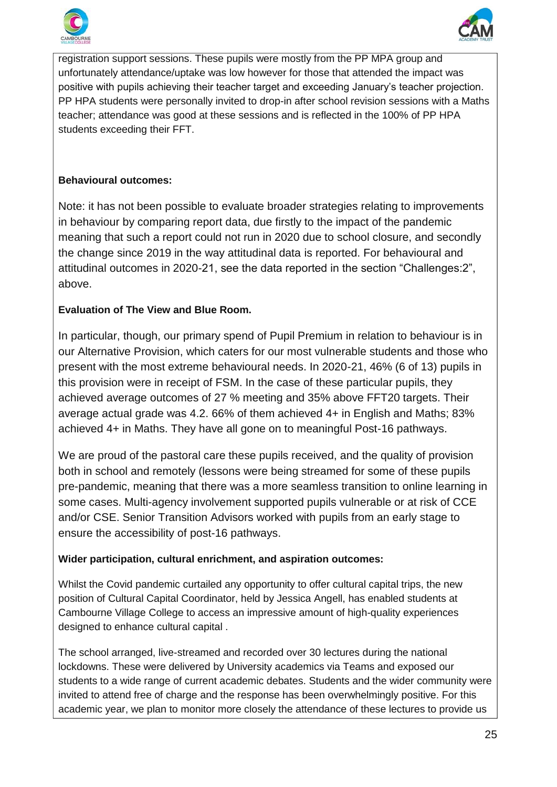



registration support sessions. These pupils were mostly from the PP MPA group and unfortunately attendance/uptake was low however for those that attended the impact was positive with pupils achieving their teacher target and exceeding January's teacher projection. PP HPA students were personally invited to drop-in after school revision sessions with a Maths teacher; attendance was good at these sessions and is reflected in the 100% of PP HPA students exceeding their FFT.

#### **Behavioural outcomes:**

Note: it has not been possible to evaluate broader strategies relating to improvements in behaviour by comparing report data, due firstly to the impact of the pandemic meaning that such a report could not run in 2020 due to school closure, and secondly the change since 2019 in the way attitudinal data is reported. For behavioural and attitudinal outcomes in 2020-21, see the data reported in the section "Challenges:2", above.

#### **Evaluation of The View and Blue Room.**

In particular, though, our primary spend of Pupil Premium in relation to behaviour is in our Alternative Provision, which caters for our most vulnerable students and those who present with the most extreme behavioural needs. In 2020-21, 46% (6 of 13) pupils in this provision were in receipt of FSM. In the case of these particular pupils, they achieved average outcomes of 27 % meeting and 35% above FFT20 targets. Their average actual grade was 4.2. 66% of them achieved 4+ in English and Maths; 83% achieved 4+ in Maths. They have all gone on to meaningful Post-16 pathways.

We are proud of the pastoral care these pupils received, and the quality of provision both in school and remotely (lessons were being streamed for some of these pupils pre-pandemic, meaning that there was a more seamless transition to online learning in some cases. Multi-agency involvement supported pupils vulnerable or at risk of CCE and/or CSE. Senior Transition Advisors worked with pupils from an early stage to ensure the accessibility of post-16 pathways.

#### **Wider participation, cultural enrichment, and aspiration outcomes:**

Whilst the Covid pandemic curtailed any opportunity to offer cultural capital trips, the new position of Cultural Capital Coordinator, held by Jessica Angell, has enabled students at Cambourne Village College to access an impressive amount of high-quality experiences designed to enhance cultural capital .

The school arranged, live-streamed and recorded over 30 lectures during the national lockdowns. These were delivered by University academics via Teams and exposed our students to a wide range of current academic debates. Students and the wider community were invited to attend free of charge and the response has been overwhelmingly positive. For this academic year, we plan to monitor more closely the attendance of these lectures to provide us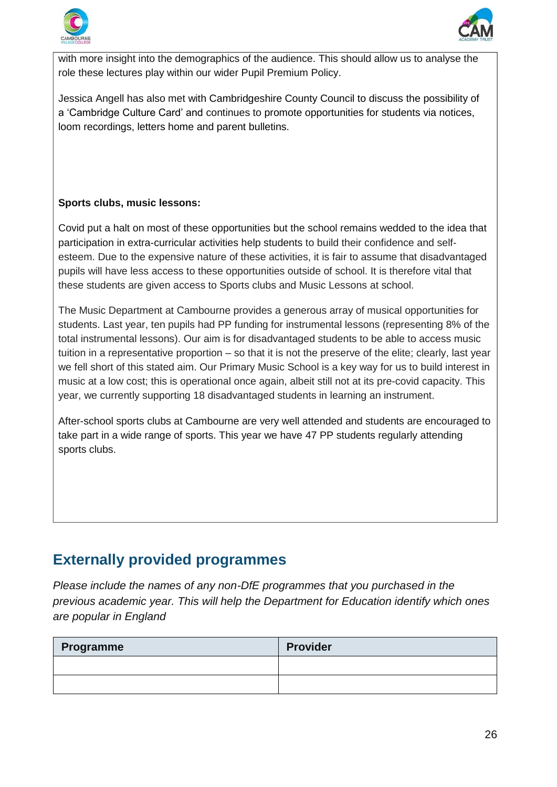



with more insight into the demographics of the audience. This should allow us to analyse the role these lectures play within our wider Pupil Premium Policy.

Jessica Angell has also met with Cambridgeshire County Council to discuss the possibility of a 'Cambridge Culture Card' and continues to promote opportunities for students via notices, loom recordings, letters home and parent bulletins.

#### **Sports clubs, music lessons:**

Covid put a halt on most of these opportunities but the school remains wedded to the idea that participation in extra-curricular activities help students to build their confidence and selfesteem. Due to the expensive nature of these activities, it is fair to assume that disadvantaged pupils will have less access to these opportunities outside of school. It is therefore vital that these students are given access to Sports clubs and Music Lessons at school.

The Music Department at Cambourne provides a generous array of musical opportunities for students. Last year, ten pupils had PP funding for instrumental lessons (representing 8% of the total instrumental lessons). Our aim is for disadvantaged students to be able to access music tuition in a representative proportion – so that it is not the preserve of the elite; clearly, last year we fell short of this stated aim. Our Primary Music School is a key way for us to build interest in music at a low cost; this is operational once again, albeit still not at its pre-covid capacity. This year, we currently supporting 18 disadvantaged students in learning an instrument.

After-school sports clubs at Cambourne are very well attended and students are encouraged to take part in a wide range of sports. This year we have 47 PP students regularly attending sports clubs.

### **Externally provided programmes**

*Please include the names of any non-DfE programmes that you purchased in the previous academic year. This will help the Department for Education identify which ones are popular in England*

| Programme | <b>Provider</b> |
|-----------|-----------------|
|           |                 |
|           |                 |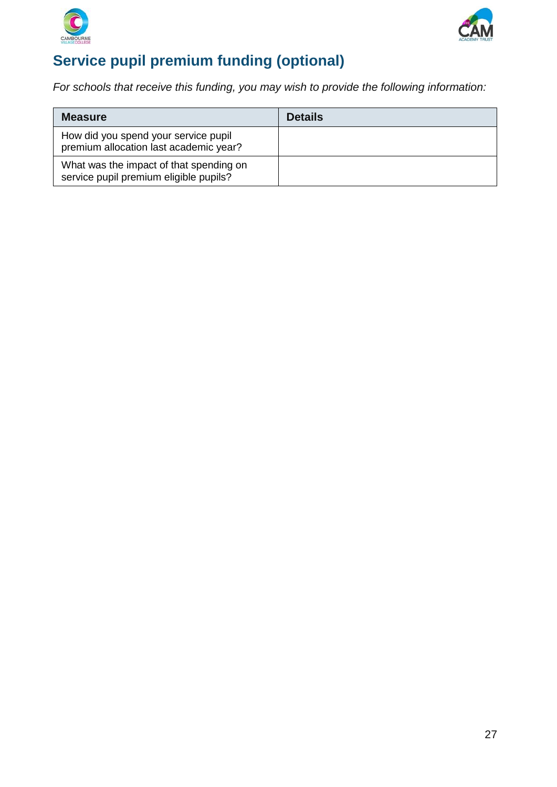



## **Service pupil premium funding (optional)**

*For schools that receive this funding, you may wish to provide the following information:*

| <b>Measure</b>                                                                    | <b>Details</b> |
|-----------------------------------------------------------------------------------|----------------|
| How did you spend your service pupil<br>premium allocation last academic year?    |                |
| What was the impact of that spending on<br>service pupil premium eligible pupils? |                |